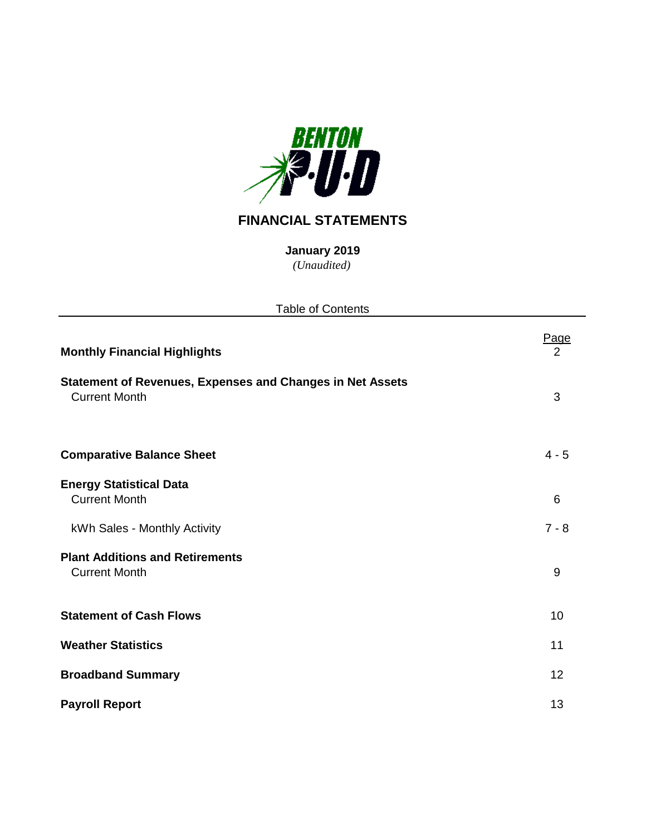

## **FINANCIAL STATEMENTS**

*(Unaudited)* **January 2019**

| <b>Table of Contents</b>                                                                 |           |
|------------------------------------------------------------------------------------------|-----------|
| <b>Monthly Financial Highlights</b>                                                      | Page<br>2 |
| <b>Statement of Revenues, Expenses and Changes in Net Assets</b><br><b>Current Month</b> | 3         |
| <b>Comparative Balance Sheet</b>                                                         | $4 - 5$   |
| <b>Energy Statistical Data</b><br><b>Current Month</b>                                   | 6         |
| kWh Sales - Monthly Activity                                                             | $7 - 8$   |
| <b>Plant Additions and Retirements</b><br><b>Current Month</b>                           | 9         |
| <b>Statement of Cash Flows</b>                                                           | 10        |
| <b>Weather Statistics</b>                                                                | 11        |
| <b>Broadband Summary</b>                                                                 | 12        |
| <b>Payroll Report</b>                                                                    | 13        |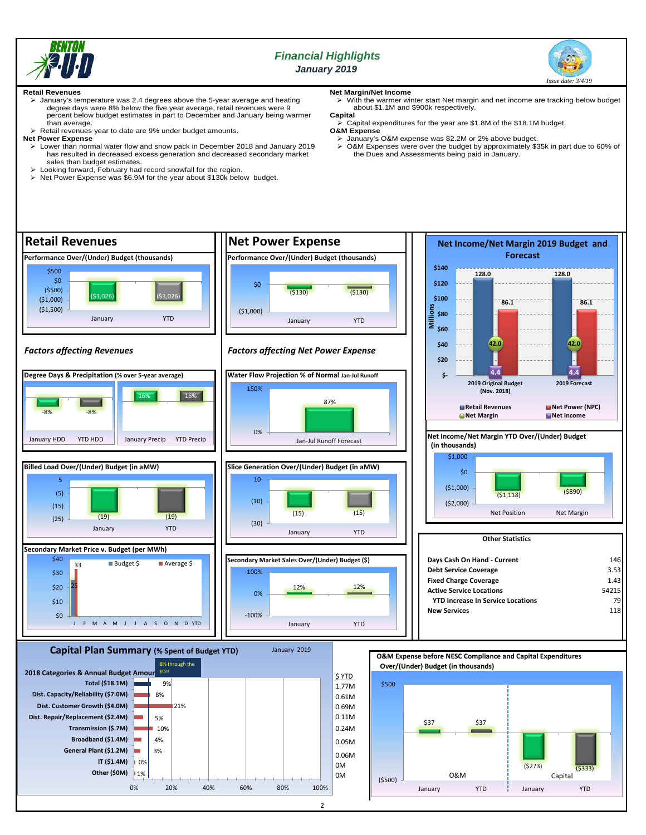

## *Financial Highlights January 2019*



#### **Retail Revenues**

- January's temperature was 2.4 degrees above the 5-year average and heating degree days were 8% below the five year average, retail revenues were 9 percent below budget estimates in part to December and January being warmer than average.
- Retail revenues year to date are 9% under budget amounts.

#### **Net Power Expense**

- Lower than normal water flow and snow pack in December 2018 and January 2019 has resulted in decreased excess generation and decreased secondary market sales than budget estimates.
- Looking forward, February had record snowfall for the region.
- > Net Power Expense was \$6.9M for the year about \$130k below budget.

## **Net Margin/Net Income**

 With the warmer winter start Net margin and net income are tracking below budget about \$1.1M and \$900k respectively.

## **Capital**

- Capital expenditures for the year are \$1.8M of the \$18.1M budget. **O&M Expense**<br>
> January's O&M expense was \$2.2M or 2% above budget.
	-
	- January's O&M expense was \$2.2M or 2% above budget. O&M Expenses were over the budget by approximately \$35k in part due to 60% of the Dues and Assessments being paid in January.

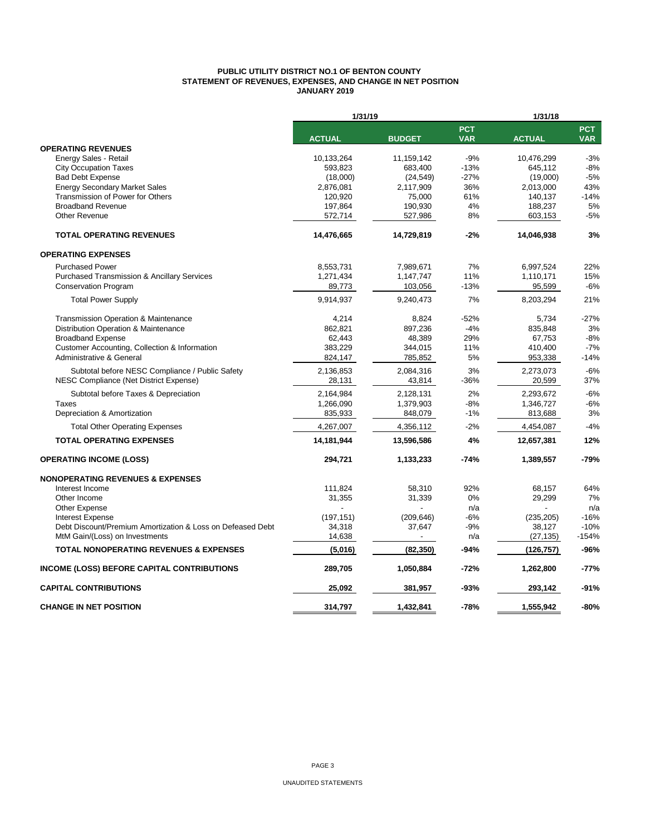## **PUBLIC UTILITY DISTRICT NO.1 OF BENTON COUNTY STATEMENT OF REVENUES, EXPENSES, AND CHANGE IN NET POSITION JANUARY 2019**

|                                                            | 1/31/19       |               |                          | 1/31/18       |                          |
|------------------------------------------------------------|---------------|---------------|--------------------------|---------------|--------------------------|
|                                                            | <b>ACTUAL</b> | <b>BUDGET</b> | <b>PCT</b><br><b>VAR</b> | <b>ACTUAL</b> | <b>PCT</b><br><b>VAR</b> |
| <b>OPERATING REVENUES</b>                                  |               |               |                          |               |                          |
| Energy Sales - Retail                                      | 10.133.264    | 11.159.142    | $-9%$                    | 10.476.299    | $-3%$                    |
| <b>City Occupation Taxes</b>                               | 593,823       | 683,400       | $-13%$                   | 645,112       | $-8%$                    |
| <b>Bad Debt Expense</b>                                    | (18,000)      | (24, 549)     | $-27%$                   | (19,000)      | $-5%$                    |
| <b>Energy Secondary Market Sales</b>                       | 2,876,081     | 2,117,909     | 36%                      | 2,013,000     | 43%                      |
| Transmission of Power for Others                           | 120,920       | 75,000        | 61%                      | 140,137       | $-14%$                   |
| <b>Broadband Revenue</b>                                   | 197,864       | 190,930       | 4%                       | 188,237       | 5%                       |
| <b>Other Revenue</b>                                       | 572,714       | 527,986       | 8%                       | 603,153       | $-5%$                    |
| <b>TOTAL OPERATING REVENUES</b>                            | 14,476,665    | 14,729,819    | $-2%$                    | 14,046,938    | 3%                       |
| <b>OPERATING EXPENSES</b>                                  |               |               |                          |               |                          |
| <b>Purchased Power</b>                                     | 8,553,731     | 7,989,671     | 7%                       | 6,997,524     | 22%                      |
| <b>Purchased Transmission &amp; Ancillary Services</b>     | 1,271,434     | 1,147,747     | 11%                      | 1,110,171     | 15%                      |
| <b>Conservation Program</b>                                | 89,773        | 103,056       | $-13%$                   | 95,599        | $-6%$                    |
| <b>Total Power Supply</b>                                  | 9,914,937     | 9,240,473     | 7%                       | 8,203,294     | 21%                      |
| Transmission Operation & Maintenance                       | 4,214         | 8.824         | $-52%$                   | 5.734         | $-27%$                   |
| Distribution Operation & Maintenance                       | 862,821       | 897,236       | $-4%$                    | 835,848       | 3%                       |
| <b>Broadband Expense</b>                                   | 62.443        | 48.389        | 29%                      | 67.753        | $-8%$                    |
| Customer Accounting, Collection & Information              | 383,229       | 344,015       | 11%                      | 410,400       | $-7%$                    |
| Administrative & General                                   | 824,147       | 785,852       | 5%                       | 953,338       | $-14%$                   |
| Subtotal before NESC Compliance / Public Safety            | 2,136,853     | 2,084,316     | 3%                       | 2,273,073     | $-6%$                    |
| NESC Compliance (Net District Expense)                     | 28,131        | 43,814        | $-36%$                   | 20,599        | 37%                      |
| Subtotal before Taxes & Depreciation                       | 2,164,984     | 2,128,131     | 2%                       | 2,293,672     | $-6%$                    |
| Taxes                                                      | 1,266,090     | 1,379,903     | $-8%$                    | 1,346,727     | $-6%$                    |
| Depreciation & Amortization                                | 835,933       | 848,079       | $-1%$                    | 813,688       | 3%                       |
| <b>Total Other Operating Expenses</b>                      | 4,267,007     | 4,356,112     | $-2%$                    | 4,454,087     | $-4%$                    |
| <b>TOTAL OPERATING EXPENSES</b>                            | 14,181,944    | 13,596,586    | 4%                       | 12,657,381    | 12%                      |
| <b>OPERATING INCOME (LOSS)</b>                             | 294,721       | 1,133,233     | $-74%$                   | 1,389,557     | -79%                     |
| <b>NONOPERATING REVENUES &amp; EXPENSES</b>                |               |               |                          |               |                          |
| Interest Income                                            | 111,824       | 58,310        | 92%                      | 68,157        | 64%                      |
| Other Income                                               | 31,355        | 31,339        | 0%                       | 29.299        | 7%                       |
| Other Expense                                              |               |               | n/a                      |               | n/a                      |
| <b>Interest Expense</b>                                    | (197, 151)    | (209, 646)    | $-6%$                    | (235, 205)    | $-16%$                   |
| Debt Discount/Premium Amortization & Loss on Defeased Debt | 34,318        | 37,647        | -9%                      | 38,127        | $-10%$                   |
| MtM Gain/(Loss) on Investments                             | 14,638        |               | n/a                      | (27, 135)     | $-154%$                  |
| <b>TOTAL NONOPERATING REVENUES &amp; EXPENSES</b>          | (5,016)       | (82, 350)     | $-94%$                   | (126, 757)    | $-96%$                   |
| <b>INCOME (LOSS) BEFORE CAPITAL CONTRIBUTIONS</b>          | 289,705       | 1,050,884     | $-72%$                   | 1,262,800     | $-77%$                   |
| <b>CAPITAL CONTRIBUTIONS</b>                               | 25,092        | 381,957       | $-93%$                   | 293,142       | $-91%$                   |
| <b>CHANGE IN NET POSITION</b>                              | 314.797       | 1,432,841     | $-78%$                   | 1,555,942     | $-80%$                   |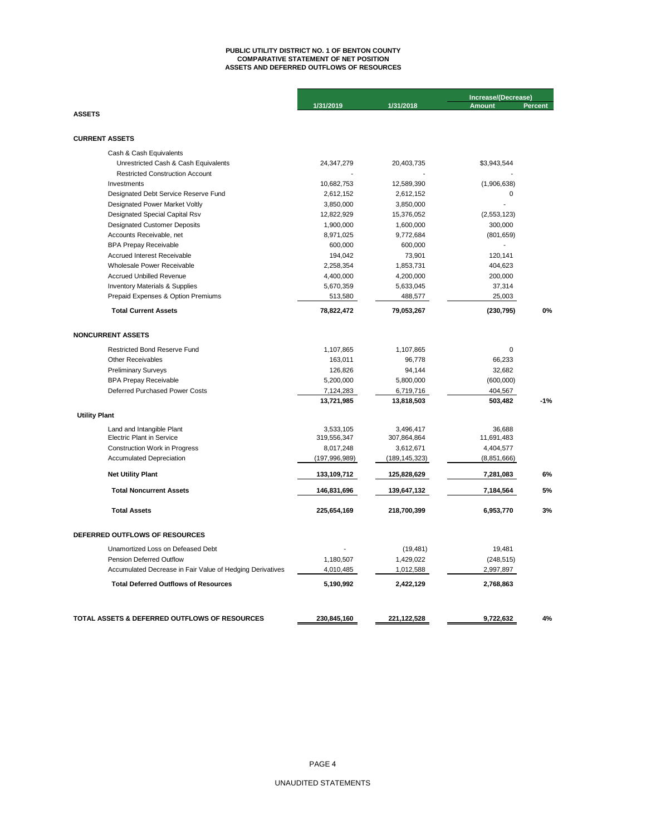## **ASSETS AND DEFERRED OUTFLOWS OF RESOURCES PUBLIC UTILITY DISTRICT NO. 1 OF BENTON COUNTY COMPARATIVE STATEMENT OF NET POSITION**

|                                                                                |                 |                 | Increase/(Decrease) |                |
|--------------------------------------------------------------------------------|-----------------|-----------------|---------------------|----------------|
|                                                                                | 1/31/2019       | 1/31/2018       | <b>Amount</b>       | <b>Percent</b> |
| <b>ASSETS</b>                                                                  |                 |                 |                     |                |
| <b>CURRENT ASSETS</b>                                                          |                 |                 |                     |                |
|                                                                                |                 |                 |                     |                |
| Cash & Cash Equivalents                                                        |                 |                 |                     |                |
| Unrestricted Cash & Cash Equivalents<br><b>Restricted Construction Account</b> | 24,347,279      | 20,403,735      | \$3,943,544         |                |
| Investments                                                                    | 10,682,753      | 12,589,390      | (1,906,638)         |                |
| Designated Debt Service Reserve Fund                                           | 2,612,152       | 2,612,152       | 0                   |                |
| Designated Power Market Voltly                                                 | 3,850,000       | 3,850,000       |                     |                |
| Designated Special Capital Rsv                                                 | 12,822,929      | 15,376,052      | (2, 553, 123)       |                |
| <b>Designated Customer Deposits</b>                                            | 1,900,000       | 1,600,000       | 300,000             |                |
| Accounts Receivable, net                                                       | 8,971,025       | 9,772,684       | (801, 659)          |                |
| <b>BPA Prepay Receivable</b>                                                   | 600,000         | 600,000         |                     |                |
| <b>Accrued Interest Receivable</b>                                             | 194,042         | 73,901          | 120,141             |                |
| Wholesale Power Receivable                                                     | 2,258,354       | 1,853,731       | 404,623             |                |
| <b>Accrued Unbilled Revenue</b>                                                | 4,400,000       | 4,200,000       | 200,000             |                |
| <b>Inventory Materials &amp; Supplies</b>                                      | 5,670,359       | 5,633,045       | 37,314              |                |
| Prepaid Expenses & Option Premiums                                             | 513,580         | 488,577         | 25,003              |                |
| <b>Total Current Assets</b>                                                    | 78,822,472      | 79,053,267      | (230, 795)          | 0%             |
| <b>NONCURRENT ASSETS</b>                                                       |                 |                 |                     |                |
| <b>Restricted Bond Reserve Fund</b>                                            | 1,107,865       | 1,107,865       | 0                   |                |
| <b>Other Receivables</b>                                                       | 163,011         | 96,778          | 66,233              |                |
| <b>Preliminary Surveys</b>                                                     | 126,826         | 94,144          | 32,682              |                |
| <b>BPA Prepay Receivable</b>                                                   | 5,200,000       | 5,800,000       | (600,000)           |                |
| Deferred Purchased Power Costs                                                 | 7,124,283       | 6,719,716       | 404,567             |                |
|                                                                                | 13,721,985      | 13,818,503      | 503,482             | $-1%$          |
| <b>Utility Plant</b>                                                           |                 |                 |                     |                |
| Land and Intangible Plant                                                      | 3,533,105       | 3,496,417       | 36,688              |                |
| <b>Electric Plant in Service</b>                                               | 319,556,347     | 307,864,864     | 11,691,483          |                |
| <b>Construction Work in Progress</b>                                           | 8,017,248       | 3,612,671       | 4,404,577           |                |
| <b>Accumulated Depreciation</b>                                                | (197, 996, 989) | (189, 145, 323) | (8,851,666)         |                |
| <b>Net Utility Plant</b>                                                       | 133,109,712     | 125,828,629     | 7,281,083           | 6%             |
| <b>Total Noncurrent Assets</b>                                                 | 146,831,696     | 139,647,132     | 7,184,564           | 5%             |
| <b>Total Assets</b>                                                            | 225,654,169     | 218,700,399     | 6,953,770           | 3%             |
| DEFERRED OUTFLOWS OF RESOURCES                                                 |                 |                 |                     |                |
| Unamortized Loss on Defeased Debt                                              |                 | (19, 481)       | 19,481              |                |
| <b>Pension Deferred Outflow</b>                                                | 1,180,507       | 1,429,022       | (248, 515)          |                |
| Accumulated Decrease in Fair Value of Hedging Derivatives                      | 4,010,485       | 1,012,588       | 2,997,897           |                |
| <b>Total Deferred Outflows of Resources</b>                                    | 5,190,992       | 2,422,129       | 2,768,863           |                |
|                                                                                |                 |                 |                     |                |
| TOTAL ASSETS & DEFERRED OUTFLOWS OF RESOURCES                                  | 230,845,160     | 221,122,528     | 9,722,632           | 4%             |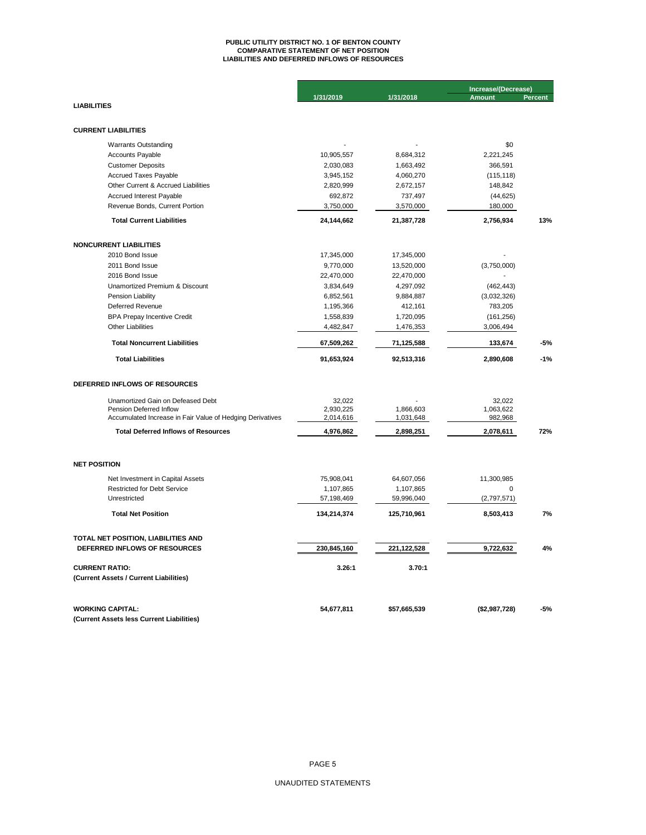# **PUBLIC UTILITY DISTRICT NO. 1 OF BENTON COUNTY COMPARATIVE STATEMENT OF NET POSITION LIABILITIES AND DEFERRED INFLOWS OF RESOURCES**

|                                                           |             |              | Increase/(Decrease) |                |
|-----------------------------------------------------------|-------------|--------------|---------------------|----------------|
|                                                           | 1/31/2019   | 1/31/2018    | <b>Amount</b>       | <b>Percent</b> |
| <b>LIABILITIES</b>                                        |             |              |                     |                |
|                                                           |             |              |                     |                |
| <b>CURRENT LIABILITIES</b>                                |             |              |                     |                |
| <b>Warrants Outstanding</b>                               |             |              | \$0                 |                |
| Accounts Payable                                          | 10,905,557  | 8,684,312    | 2,221,245           |                |
| <b>Customer Deposits</b>                                  | 2,030,083   | 1,663,492    | 366,591             |                |
| <b>Accrued Taxes Payable</b>                              | 3,945,152   | 4,060,270    | (115, 118)          |                |
| Other Current & Accrued Liabilities                       | 2,820,999   | 2,672,157    | 148,842             |                |
| Accrued Interest Payable                                  | 692,872     | 737,497      | (44, 625)           |                |
| Revenue Bonds, Current Portion                            | 3,750,000   | 3,570,000    | 180,000             |                |
| <b>Total Current Liabilities</b>                          | 24,144,662  | 21,387,728   | 2,756,934           | 13%            |
| <b>NONCURRENT LIABILITIES</b>                             |             |              |                     |                |
| 2010 Bond Issue                                           | 17,345,000  | 17,345,000   |                     |                |
| 2011 Bond Issue                                           | 9,770,000   | 13,520,000   | (3,750,000)         |                |
| 2016 Bond Issue                                           | 22,470,000  | 22,470,000   |                     |                |
| Unamortized Premium & Discount                            | 3,834,649   | 4,297,092    | (462, 443)          |                |
| Pension Liability                                         | 6,852,561   | 9,884,887    | (3,032,326)         |                |
| Deferred Revenue                                          | 1,195,366   | 412,161      | 783,205             |                |
| <b>BPA Prepay Incentive Credit</b>                        | 1,558,839   | 1,720,095    | (161, 256)          |                |
| <b>Other Liabilities</b>                                  | 4,482,847   | 1,476,353    | 3,006,494           |                |
| <b>Total Noncurrent Liabilities</b>                       | 67,509,262  | 71,125,588   | 133,674             | -5%            |
| <b>Total Liabilities</b>                                  | 91,653,924  | 92,513,316   | 2,890,608           | $-1%$          |
| DEFERRED INFLOWS OF RESOURCES                             |             |              |                     |                |
| Unamortized Gain on Defeased Debt                         | 32,022      |              | 32,022              |                |
| Pension Deferred Inflow                                   | 2,930,225   | 1,866,603    | 1,063,622           |                |
| Accumulated Increase in Fair Value of Hedging Derivatives | 2,014,616   | 1,031,648    | 982,968             |                |
| <b>Total Deferred Inflows of Resources</b>                | 4,976,862   | 2,898,251    | 2,078,611           | 72%            |
| <b>NET POSITION</b>                                       |             |              |                     |                |
| Net Investment in Capital Assets                          | 75,908,041  | 64,607,056   | 11,300,985          |                |
| <b>Restricted for Debt Service</b>                        | 1,107,865   | 1,107,865    | $\mathbf 0$         |                |
| Unrestricted                                              | 57,198,469  | 59,996,040   | (2,797,571)         |                |
| <b>Total Net Position</b>                                 | 134,214,374 | 125,710,961  | 8,503,413           | 7%             |
|                                                           |             |              |                     |                |
| TOTAL NET POSITION, LIABILITIES AND                       |             |              |                     |                |
| DEFERRED INFLOWS OF RESOURCES                             | 230,845,160 | 221,122,528  | 9,722,632           | 4%             |
| <b>CURRENT RATIO:</b>                                     | 3.26:1      | 3.70:1       |                     |                |
| (Current Assets / Current Liabilities)                    |             |              |                     |                |
| <b>WORKING CAPITAL:</b>                                   | 54,677,811  | \$57,665,539 | (\$2,987,728)       | $-5%$          |
| (Current Assets less Current Liabilities)                 |             |              |                     |                |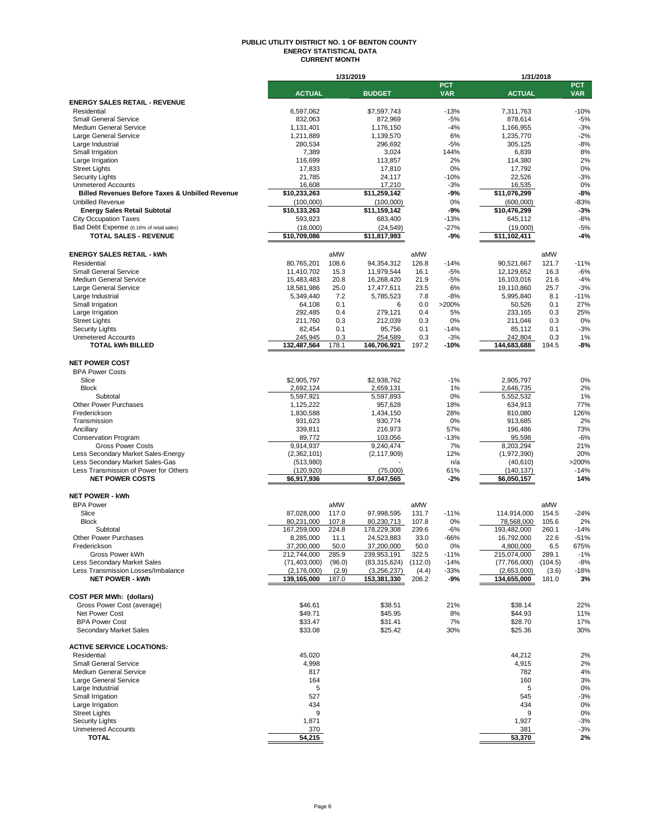#### **PUBLIC UTILITY DISTRICT NO. 1 OF BENTON COUNTY ENERGY STATISTICAL DATA CURRENT MONTH**

|                                                                          |                          | 1/31/2019     |                           |               |                   | 1/31/2018                 |               |                          |
|--------------------------------------------------------------------------|--------------------------|---------------|---------------------------|---------------|-------------------|---------------------------|---------------|--------------------------|
|                                                                          | <b>ACTUAL</b>            |               | <b>BUDGET</b>             |               | PCT<br><b>VAR</b> | <b>ACTUAL</b>             |               | <b>PCT</b><br><b>VAR</b> |
| <b>ENERGY SALES RETAIL - REVENUE</b>                                     |                          |               |                           |               |                   |                           |               |                          |
| Residential                                                              | 6,597,062                |               | \$7,597,743               |               | $-13%$            | 7.311.763                 |               | $-10%$                   |
| <b>Small General Service</b>                                             | 832,063                  |               | 872,969                   |               | $-5%$             | 878,614                   |               | $-5%$                    |
| Medium General Service                                                   | 1,131,401                |               | 1,176,150                 |               | $-4%$             | 1,166,955                 |               | $-3%$                    |
| Large General Service                                                    | 1,211,889                |               | 1,139,570                 |               | 6%                | 1,235,770                 |               | $-2%$                    |
| Large Industrial<br>Small Irrigation                                     | 280,534<br>7,389         |               | 296,692<br>3,024          |               | $-5%$<br>144%     | 305,125<br>6,839          |               | $-8%$<br>8%              |
| Large Irrigation                                                         | 116,699                  |               | 113,857                   |               | 2%                | 114,380                   |               | 2%                       |
| <b>Street Lights</b>                                                     | 17,833                   |               | 17,810                    |               | 0%                | 17,792                    |               | 0%                       |
| <b>Security Lights</b>                                                   | 21,785                   |               | 24,117                    |               | $-10%$            | 22,526                    |               | $-3%$                    |
| <b>Unmetered Accounts</b>                                                | 16,608                   |               | 17,210                    |               | $-3%$             | 16,535                    |               | 0%                       |
| <b>Billed Revenues Before Taxes &amp; Unbilled Revenue</b>               | \$10,233,263             |               | \$11,259,142              |               | -9%               | \$11,076,299              |               | $-8%$                    |
| <b>Unbilled Revenue</b>                                                  | (100,000)                |               | (100,000)                 |               | 0%                | (600,000)                 |               | $-83%$                   |
| <b>Energy Sales Retail Subtotal</b>                                      | \$10,133,263             |               | \$11,159,142              |               | -9%               | \$10,476,299              |               | $-3%$                    |
| <b>City Occupation Taxes</b><br>Bad Debt Expense (0.16% of retail sales) | 593,823                  |               | 683,400<br>(24, 549)      |               | $-13%$            | 645,112                   |               | $-8%$<br>$-5%$           |
| <b>TOTAL SALES - REVENUE</b>                                             | (18,000)<br>\$10,709,086 |               | \$11,817,993              |               | $-27%$<br>$-9%$   | (19,000)<br>\$11,102,411  |               | $-4%$                    |
|                                                                          |                          |               |                           |               |                   |                           |               |                          |
| <b>ENERGY SALES RETAIL - kWh</b>                                         |                          | aMW           |                           | aMW           |                   |                           | aMW           |                          |
| Residential                                                              | 80,765,201               | 108.6         | 94,354,312                | 126.8         | $-14%$            | 90,521,667                | 121.7         | $-11%$                   |
| <b>Small General Service</b>                                             | 11,410,702               | 15.3          | 11,979,544                | 16.1          | $-5%$             | 12,129,652                | 16.3          | $-6%$                    |
| <b>Medium General Service</b>                                            | 15,483,483               | 20.8          | 16,268,420                | 21.9          | $-5%$             | 16,103,016                | 21.6          | $-4%$                    |
| Large General Service                                                    | 18,581,986               | 25.0          | 17,477,611                | 23.5          | 6%                | 19,110,860                | 25.7          | $-3%$                    |
| Large Industrial                                                         | 5,349,440                | 7.2           | 5,785,523                 | 7.8           | $-8%$             | 5,995,840                 | 8.1           | $-11%$                   |
| Small Irrigation                                                         | 64,108                   | 0.1           | 6                         | 0.0           | >200%             | 50.526                    | 0.1           | 27%                      |
| Large Irrigation<br><b>Street Lights</b>                                 | 292,485<br>211,760       | 0.4<br>0.3    | 279,121<br>212,039        | 0.4<br>0.3    | 5%<br>0%          | 233,165<br>211,046        | 0.3<br>0.3    | 25%<br>0%                |
| <b>Security Lights</b>                                                   | 82,454                   | 0.1           | 95,756                    | 0.1           | $-14%$            | 85,112                    | 0.1           | $-3%$                    |
| <b>Unmetered Accounts</b>                                                | 245,945                  | 0.3           | 254,589                   | 0.3           | $-3%$             | 242,804                   | 0.3           | 1%                       |
| <b>TOTAL kWh BILLED</b>                                                  | 132,487,564              | 178.1         | 146,706,921               | 197.2         | $-10%$            | 144,683,688               | 194.5         | -8%                      |
|                                                                          |                          |               |                           |               |                   |                           |               |                          |
| <b>NET POWER COST</b>                                                    |                          |               |                           |               |                   |                           |               |                          |
| <b>BPA Power Costs</b>                                                   |                          |               |                           |               |                   |                           |               |                          |
| Slice<br><b>Block</b>                                                    | \$2,905,797              |               | \$2.938.762               |               | $-1%$<br>1%       | 2.905.797                 |               | 0%<br>2%                 |
| Subtotal                                                                 | 2,692,124<br>5,597,921   |               | 2,659,131<br>5,597,893    |               | 0%                | 2,646,735<br>5,552,532    |               | 1%                       |
| <b>Other Power Purchases</b>                                             | 1,125,222                |               | 957,628                   |               | 18%               | 634,913                   |               | 77%                      |
| Frederickson                                                             | 1,830,588                |               | 1,434,150                 |               | 28%               | 810,080                   |               | 126%                     |
| Transmission                                                             | 931,623                  |               | 930,774                   |               | 0%                | 913,685                   |               | 2%                       |
| Ancillary                                                                | 339,811                  |               | 216,973                   |               | 57%               | 196,486                   |               | 73%                      |
| <b>Conservation Program</b>                                              | 89,772                   |               | 103,056                   |               | $-13%$            | 95,598                    |               | $-6%$                    |
| <b>Gross Power Costs</b>                                                 | 9,914,937                |               | 9,240,474                 |               | 7%                | 8,203,294                 |               | 21%                      |
| Less Secondary Market Sales-Energy                                       | (2,362,101)              |               | (2, 117, 909)             |               | 12%               | (1,972,390)               |               | 20%                      |
| Less Secondary Market Sales-Gas<br>Less Transmission of Power for Others | (513,980)<br>(120, 920)  |               | (75,000)                  |               | n/a<br>61%        | (40, 610)<br>(140, 137)   |               | >200%<br>$-14%$          |
| <b>NET POWER COSTS</b>                                                   | \$6,917,936              |               | \$7,047,565               |               | $-2%$             | \$6,050,157               |               | 14%                      |
|                                                                          |                          |               |                           |               |                   |                           |               |                          |
| <b>NET POWER - kWh</b>                                                   |                          |               |                           |               |                   |                           |               |                          |
| <b>BPA Power</b>                                                         |                          | aMW           |                           | aMW           |                   |                           | aMW           |                          |
| Slice                                                                    | 87,028,000               | 117.0         | 97,998,595                | 131.7         | $-11%$            | 114,914,000               | 154.5         | $-24%$                   |
| <b>Block</b>                                                             | 80,231,000               | 107.8         | 80,230,713                | 107.8         | 0%                | 78,568,000                | 105.6         | 2%                       |
| Subtotal<br><b>Other Power Purchases</b>                                 | 167,259,000<br>8,285,000 | 224.8<br>11.1 | 178,229,308<br>24,523,883 | 239.6<br>33.0 | $-6%$<br>-66%     | 193,482,000<br>16,792,000 | 260.1<br>22.6 | $-14%$<br>$-51%$         |
| Frederickson                                                             | 37,200,000               | 50.0          | 37,200,000                | 50.0          | 0%                | 4,800,000                 | 6.5           | 675%                     |
| Gross Power kWh                                                          | 212,744,000              | 285.9         | 239,953,191               | 322.5         | $-11%$            | 215,074,000               | 289.1         | $-1%$                    |
| Less Secondary Market Sales                                              | (71, 403, 000)           | (96.0)        | (83, 315, 624)            | (112.0)       | $-14%$            | (77,766,000)              | (104.5)       | $-8%$                    |
| Less Transmission Losses/Imbalance                                       | (2, 176, 000)            | (2.9)         | (3,256,237)               | (4.4)         | $-33%$            | (2,653,000)               | (3.6)         | $-18%$                   |
| <b>NET POWER - kWh</b>                                                   | 139,165,000              | 187.0         | 153,381,330               | 206.2         | -9%               | 134,655,000               | 181.0         | 3%                       |
|                                                                          |                          |               |                           |               |                   |                           |               |                          |
| <b>COST PER MWh: (dollars)</b>                                           | \$46.61                  |               | \$38.51                   |               |                   | \$38.14                   |               |                          |
| Gross Power Cost (average)<br>Net Power Cost                             | \$49.71                  |               | \$45.95                   |               | 21%<br>8%         | \$44.93                   |               | 22%<br>11%               |
| <b>BPA Power Cost</b>                                                    | \$33.47                  |               | \$31.41                   |               | 7%                | \$28.70                   |               | 17%                      |
| Secondary Market Sales                                                   | \$33.08                  |               | \$25.42                   |               | 30%               | \$25.36                   |               | 30%                      |
|                                                                          |                          |               |                           |               |                   |                           |               |                          |
| <b>ACTIVE SERVICE LOCATIONS:</b>                                         |                          |               |                           |               |                   |                           |               |                          |
| Residential                                                              | 45,020                   |               |                           |               |                   | 44,212                    |               | 2%                       |
| <b>Small General Service</b>                                             | 4,998                    |               |                           |               |                   | 4,915                     |               | 2%                       |
| Medium General Service<br>Large General Service                          | 817<br>164               |               |                           |               |                   | 782<br>160                |               | 4%<br>3%                 |
| Large Industrial                                                         | 5                        |               |                           |               |                   | 5                         |               | 0%                       |
| Small Irrigation                                                         | 527                      |               |                           |               |                   | 545                       |               | $-3%$                    |
| Large Irrigation                                                         | 434                      |               |                           |               |                   | 434                       |               | 0%                       |
| <b>Street Lights</b>                                                     | 9                        |               |                           |               |                   | 9                         |               | 0%                       |
| <b>Security Lights</b>                                                   | 1,871                    |               |                           |               |                   | 1,927                     |               | $-3%$                    |
| <b>Unmetered Accounts</b>                                                | 370                      |               |                           |               |                   | 381                       |               | $-3%$                    |
| <b>TOTAL</b>                                                             | 54,215                   |               |                           |               |                   | 53,370                    |               | 2%                       |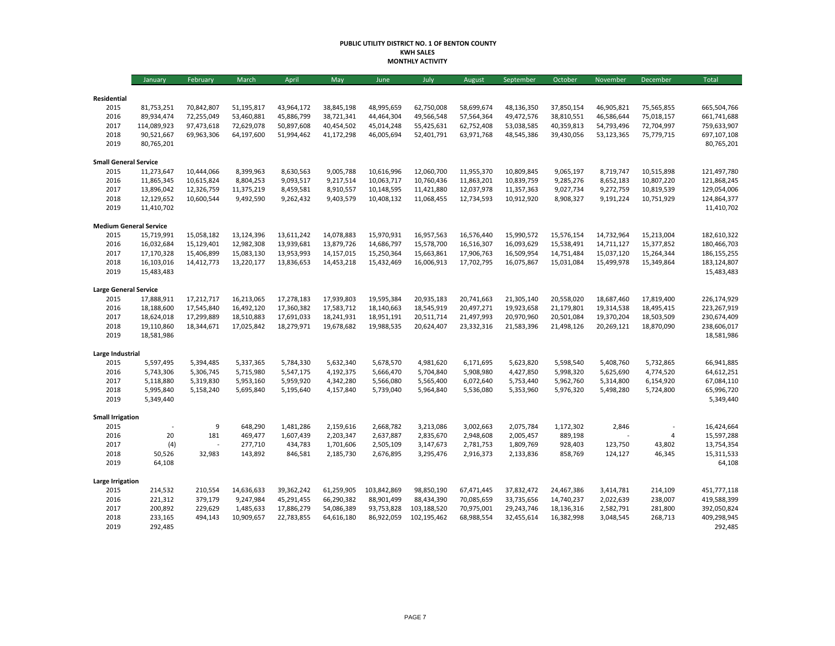#### **PUBLIC UTILITY DISTRICT NO. 1 OF BENTON COUNTY KWH SALES MONTHLY ACTIVITY**

|                              | January                       | February                 | March      | April                    | May                      | June        | July                     | August     | September                | October    | November   | December                 | <b>Total</b> |
|------------------------------|-------------------------------|--------------------------|------------|--------------------------|--------------------------|-------------|--------------------------|------------|--------------------------|------------|------------|--------------------------|--------------|
|                              |                               |                          |            |                          |                          |             |                          |            |                          |            |            |                          |              |
| Residential<br>2015          | 81,753,251                    |                          | 51,195,817 |                          |                          | 48,995,659  |                          | 58,699,674 |                          | 37,850,154 | 46,905,821 |                          | 665,504,766  |
| 2016                         | 89,934,474                    | 70,842,807<br>72,255,049 | 53,460,881 | 43,964,172<br>45,886,799 | 38,845,198<br>38,721,341 | 44,464,304  | 62,750,008<br>49,566,548 | 57,564,364 | 48,136,350<br>49,472,576 | 38,810,551 | 46,586,644 | 75,565,855<br>75,018,157 | 661,741,688  |
| 2017                         | 114,089,923                   | 97,473,618               | 72,629,078 | 50,897,608               | 40,454,502               | 45,014,248  | 55,425,631               | 62,752,408 | 53,038,585               | 40,359,813 | 54,793,496 | 72,704,997               | 759,633,907  |
| 2018                         | 90,521,667                    | 69,963,306               | 64,197,600 | 51,994,462               | 41,172,298               | 46,005,694  | 52,401,791               | 63,971,768 | 48,545,386               | 39,430,056 | 53,123,365 | 75,779,715               | 697,107,108  |
| 2019                         | 80,765,201                    |                          |            |                          |                          |             |                          |            |                          |            |            |                          | 80,765,201   |
| <b>Small General Service</b> |                               |                          |            |                          |                          |             |                          |            |                          |            |            |                          |              |
| 2015                         | 11,273,647                    | 10,444,066               | 8,399,963  | 8,630,563                | 9,005,788                | 10,616,996  | 12,060,700               | 11,955,370 | 10,809,845               | 9,065,197  | 8,719,747  | 10,515,898               | 121,497,780  |
| 2016                         | 11,865,345                    | 10,615,824               | 8,804,253  | 9,093,517                | 9,217,514                | 10,063,717  | 10,760,436               | 11,863,201 | 10,839,759               | 9,285,276  | 8,652,183  | 10,807,220               | 121,868,245  |
| 2017                         | 13,896,042                    | 12,326,759               | 11,375,219 | 8,459,581                | 8,910,557                | 10,148,595  | 11,421,880               | 12,037,978 | 11,357,363               | 9,027,734  | 9,272,759  | 10,819,539               | 129,054,006  |
| 2018                         | 12,129,652                    | 10,600,544               | 9,492,590  | 9,262,432                | 9,403,579                | 10,408,132  | 11,068,455               | 12,734,593 | 10,912,920               | 8,908,327  | 9,191,224  | 10,751,929               | 124,864,377  |
| 2019                         | 11,410,702                    |                          |            |                          |                          |             |                          |            |                          |            |            |                          | 11,410,702   |
|                              | <b>Medium General Service</b> |                          |            |                          |                          |             |                          |            |                          |            |            |                          |              |
| 2015                         | 15,719,991                    | 15,058,182               | 13,124,396 | 13,611,242               | 14,078,883               | 15,970,931  | 16,957,563               | 16,576,440 | 15,990,572               | 15,576,154 | 14,732,964 | 15,213,004               | 182,610,322  |
| 2016                         | 16,032,684                    | 15,129,401               | 12,982,308 | 13,939,681               | 13,879,726               | 14,686,797  | 15,578,700               | 16,516,307 | 16,093,629               | 15,538,491 | 14,711,127 | 15,377,852               | 180,466,703  |
| 2017                         | 17,170,328                    | 15,406,899               | 15,083,130 | 13,953,993               | 14,157,015               | 15,250,364  | 15,663,861               | 17,906,763 | 16,509,954               | 14,751,484 | 15,037,120 | 15,264,344               | 186,155,255  |
| 2018                         | 16,103,016                    | 14,412,773               | 13,220,177 | 13,836,653               | 14,453,218               | 15,432,469  | 16,006,913               | 17,702,795 | 16,075,867               | 15,031,084 | 15,499,978 | 15,349,864               | 183,124,807  |
| 2019                         | 15,483,483                    |                          |            |                          |                          |             |                          |            |                          |            |            |                          | 15,483,483   |
| <b>Large General Service</b> |                               |                          |            |                          |                          |             |                          |            |                          |            |            |                          |              |
| 2015                         | 17,888,911                    | 17,212,717               | 16,213,065 | 17,278,183               | 17,939,803               | 19,595,384  | 20,935,183               | 20,741,663 | 21,305,140               | 20,558,020 | 18,687,460 | 17,819,400               | 226,174,929  |
| 2016                         | 18,188,600                    | 17,545,840               | 16,492,120 | 17,360,382               | 17,583,712               | 18,140,663  | 18,545,919               | 20,497,271 | 19,923,658               | 21,179,801 | 19,314,538 | 18,495,415               | 223,267,919  |
| 2017                         | 18,624,018                    | 17,299,889               | 18,510,883 | 17,691,033               | 18,241,931               | 18,951,191  | 20,511,714               | 21,497,993 | 20,970,960               | 20,501,084 | 19,370,204 | 18,503,509               | 230,674,409  |
| 2018                         | 19,110,860                    | 18,344,671               | 17,025,842 | 18,279,971               | 19,678,682               | 19,988,535  | 20,624,407               | 23,332,316 | 21,583,396               | 21,498,126 | 20,269,121 | 18,870,090               | 238,606,017  |
| 2019                         | 18,581,986                    |                          |            |                          |                          |             |                          |            |                          |            |            |                          | 18,581,986   |
| Large Industrial             |                               |                          |            |                          |                          |             |                          |            |                          |            |            |                          |              |
| 2015                         | 5,597,495                     | 5,394,485                | 5,337,365  | 5,784,330                | 5,632,340                | 5,678,570   | 4,981,620                | 6,171,695  | 5,623,820                | 5,598,540  | 5,408,760  | 5,732,865                | 66,941,885   |
| 2016                         | 5,743,306                     | 5,306,745                | 5,715,980  | 5,547,175                | 4,192,375                | 5,666,470   | 5,704,840                | 5,908,980  | 4,427,850                | 5,998,320  | 5,625,690  | 4,774,520                | 64,612,251   |
| 2017                         | 5,118,880                     | 5,319,830                | 5,953,160  | 5,959,920                | 4,342,280                | 5,566,080   | 5,565,400                | 6,072,640  | 5,753,440                | 5,962,760  | 5,314,800  | 6,154,920                | 67,084,110   |
| 2018                         | 5,995,840                     | 5,158,240                | 5,695,840  | 5,195,640                | 4,157,840                | 5,739,040   | 5,964,840                | 5,536,080  | 5,353,960                | 5,976,320  | 5,498,280  | 5,724,800                | 65,996,720   |
| 2019                         | 5,349,440                     |                          |            |                          |                          |             |                          |            |                          |            |            |                          | 5,349,440    |
| <b>Small Irrigation</b>      |                               |                          |            |                          |                          |             |                          |            |                          |            |            |                          |              |
| 2015                         | $\overline{\phantom{a}}$      | 9                        | 648,290    | 1,481,286                | 2,159,616                | 2,668,782   | 3,213,086                | 3,002,663  | 2,075,784                | 1,172,302  | 2,846      |                          | 16,424,664   |
| 2016                         | 20                            | 181                      | 469,477    | 1,607,439                | 2,203,347                | 2,637,887   | 2,835,670                | 2,948,608  | 2,005,457                | 889,198    |            | $\overline{4}$           | 15,597,288   |
| 2017                         | (4)                           |                          | 277,710    | 434,783                  | 1,701,606                | 2,505,109   | 3,147,673                | 2,781,753  | 1,809,769                | 928,403    | 123,750    | 43,802                   | 13,754,354   |
| 2018                         | 50,526                        | 32,983                   | 143,892    | 846,581                  | 2,185,730                | 2,676,895   | 3,295,476                | 2,916,373  | 2,133,836                | 858,769    | 124,127    | 46,345                   | 15,311,533   |
| 2019                         | 64,108                        |                          |            |                          |                          |             |                          |            |                          |            |            |                          | 64,108       |
| Large Irrigation             |                               |                          |            |                          |                          |             |                          |            |                          |            |            |                          |              |
| 2015                         | 214,532                       | 210,554                  | 14,636,633 | 39,362,242               | 61,259,905               | 103,842,869 | 98,850,190               | 67,471,445 | 37,832,472               | 24,467,386 | 3,414,781  | 214,109                  | 451,777,118  |
| 2016                         | 221,312                       | 379,179                  | 9,247,984  | 45,291,455               | 66,290,382               | 88,901,499  | 88,434,390               | 70,085,659 | 33,735,656               | 14,740,237 | 2,022,639  | 238,007                  | 419,588,399  |
| 2017                         | 200,892                       | 229,629                  | 1,485,633  | 17,886,279               | 54,086,389               | 93,753,828  | 103,188,520              | 70,975,001 | 29,243,746               | 18,136,316 | 2,582,791  | 281,800                  | 392,050,824  |
| 2018                         | 233,165                       | 494,143                  | 10,909,657 | 22,783,855               | 64,616,180               | 86,922,059  | 102,195,462              | 68,988,554 | 32,455,614               | 16,382,998 | 3,048,545  | 268,713                  | 409,298,945  |
| 2019                         | 292,485                       |                          |            |                          |                          |             |                          |            |                          |            |            |                          | 292,485      |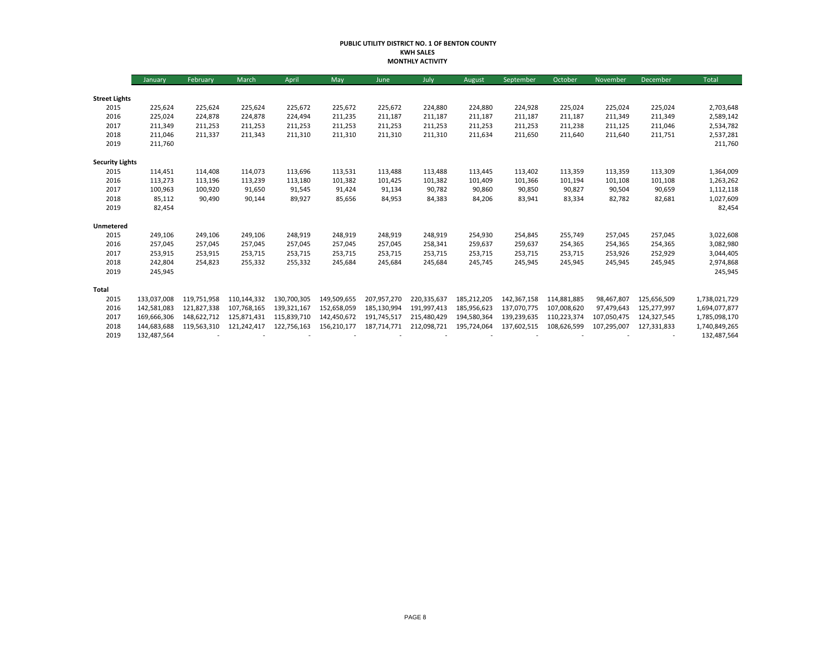#### **PUBLIC UTILITY DISTRICT NO. 1 OF BENTON COUNTY KWH SALES MONTHLY ACTIVITY**

|                        | January     | February    | March       | April       | May         | June        | July        | August      | September   | October     | November    | December    | <b>Total</b>  |
|------------------------|-------------|-------------|-------------|-------------|-------------|-------------|-------------|-------------|-------------|-------------|-------------|-------------|---------------|
|                        |             |             |             |             |             |             |             |             |             |             |             |             |               |
| <b>Street Lights</b>   |             |             |             |             |             |             |             |             |             |             |             |             |               |
| 2015                   | 225,624     | 225,624     | 225,624     | 225,672     | 225,672     | 225,672     | 224,880     | 224,880     | 224,928     | 225,024     | 225,024     | 225,024     | 2,703,648     |
| 2016                   | 225,024     | 224,878     | 224,878     | 224,494     | 211,235     | 211,187     | 211,187     | 211,187     | 211,187     | 211,187     | 211,349     | 211,349     | 2,589,142     |
| 2017                   | 211,349     | 211,253     | 211,253     | 211,253     | 211,253     | 211,253     | 211,253     | 211,253     | 211,253     | 211,238     | 211,125     | 211,046     | 2,534,782     |
| 2018                   | 211,046     | 211,337     | 211,343     | 211,310     | 211,310     | 211,310     | 211,310     | 211,634     | 211,650     | 211,640     | 211,640     | 211,751     | 2,537,281     |
| 2019                   | 211,760     |             |             |             |             |             |             |             |             |             |             |             | 211,760       |
| <b>Security Lights</b> |             |             |             |             |             |             |             |             |             |             |             |             |               |
| 2015                   | 114,451     | 114,408     | 114,073     | 113,696     | 113,531     | 113,488     | 113,488     | 113,445     | 113,402     | 113,359     | 113,359     | 113,309     | 1,364,009     |
| 2016                   | 113,273     | 113,196     | 113,239     | 113,180     | 101,382     | 101,425     | 101,382     | 101,409     | 101,366     | 101,194     | 101,108     | 101,108     | 1,263,262     |
| 2017                   | 100,963     | 100,920     | 91,650      | 91,545      | 91,424      | 91,134      | 90,782      | 90,860      | 90,850      | 90,827      | 90,504      | 90,659      | 1,112,118     |
| 2018                   | 85,112      | 90,490      | 90,144      | 89,927      | 85,656      | 84,953      | 84,383      | 84,206      | 83,941      | 83,334      | 82,782      | 82,681      | 1,027,609     |
| 2019                   | 82,454      |             |             |             |             |             |             |             |             |             |             |             | 82,454        |
| Unmetered              |             |             |             |             |             |             |             |             |             |             |             |             |               |
| 2015                   | 249,106     | 249,106     | 249,106     | 248,919     | 248,919     | 248,919     | 248,919     | 254,930     | 254,845     | 255,749     | 257,045     | 257,045     | 3,022,608     |
| 2016                   | 257,045     | 257,045     | 257,045     | 257,045     | 257,045     | 257,045     | 258,341     | 259,637     | 259,637     | 254,365     | 254,365     | 254,365     | 3,082,980     |
| 2017                   | 253,915     | 253,915     | 253,715     | 253,715     | 253,715     | 253,715     | 253,715     | 253,715     | 253,715     | 253,715     | 253,926     | 252,929     | 3,044,405     |
| 2018                   | 242,804     | 254,823     | 255,332     | 255,332     | 245,684     | 245,684     | 245,684     | 245,745     | 245,945     | 245,945     | 245,945     | 245,945     | 2,974,868     |
| 2019                   | 245,945     |             |             |             |             |             |             |             |             |             |             |             | 245,945       |
| <b>Total</b>           |             |             |             |             |             |             |             |             |             |             |             |             |               |
| 2015                   | 133,037,008 | 119,751,958 | 110,144,332 | 130,700,305 | 149,509,655 | 207,957,270 | 220,335,637 | 185,212,205 | 142,367,158 | 114,881,885 | 98,467,807  | 125,656,509 | 1,738,021,729 |
| 2016                   | 142,581,083 | 121,827,338 | 107,768,165 | 139,321,167 | 152,658,059 | 185,130,994 | 191,997,413 | 185,956,623 | 137,070,775 | 107,008,620 | 97,479,643  | 125,277,997 | 1,694,077,877 |
| 2017                   | 169,666,306 | 148,622,712 | 125,871,431 | 115,839,710 | 142,450,672 | 191,745,517 | 215,480,429 | 194,580,364 | 139,239,635 | 110,223,374 | 107,050,475 | 124,327,545 | 1,785,098,170 |
| 2018                   | 144,683,688 | 119,563,310 | 121,242,417 | 122,756,163 | 156,210,177 | 187,714,771 | 212,098,721 | 195,724,064 | 137,602,515 | 108,626,599 | 107,295,007 | 127,331,833 | 1,740,849,265 |
| 2019                   | 132,487,564 |             |             |             |             |             |             |             |             |             |             |             | 132,487,564   |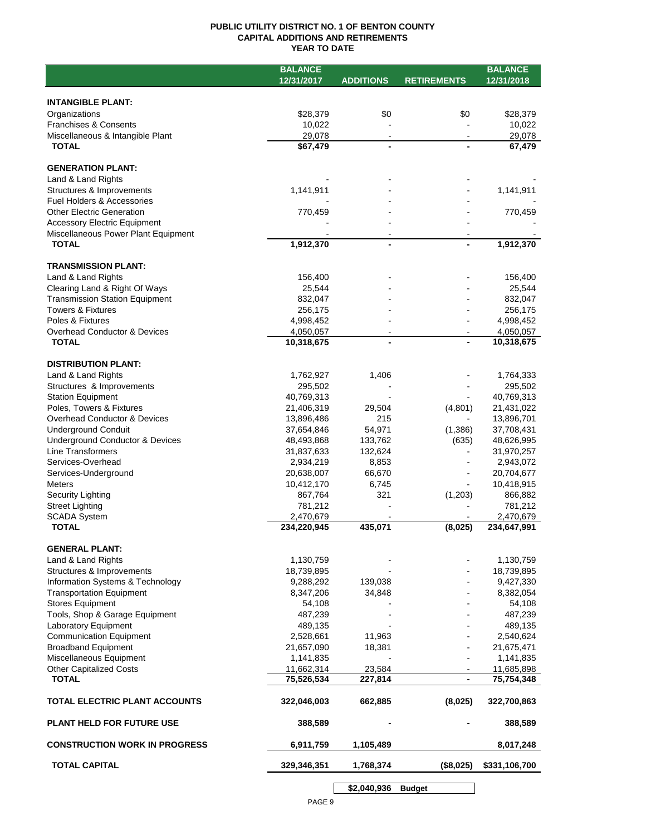## **PUBLIC UTILITY DISTRICT NO. 1 OF BENTON COUNTY CAPITAL ADDITIONS AND RETIREMENTS YEAR TO DATE**

|                                                          | <b>BALANCE</b>           |                  |                           | <b>BALANCE</b>           |
|----------------------------------------------------------|--------------------------|------------------|---------------------------|--------------------------|
|                                                          | 12/31/2017               | <b>ADDITIONS</b> | <b>RETIREMENTS</b>        | 12/31/2018               |
|                                                          |                          |                  |                           |                          |
| <b>INTANGIBLE PLANT:</b>                                 |                          |                  |                           |                          |
| Organizations                                            | \$28,379                 | \$0              | \$0                       | \$28,379                 |
| <b>Franchises &amp; Consents</b>                         | 10,022                   |                  |                           | 10,022                   |
| Miscellaneous & Intangible Plant                         | 29,078                   |                  |                           | 29,078                   |
| <b>TOTAL</b>                                             | \$67,479                 |                  |                           | 67,479                   |
| <b>GENERATION PLANT:</b>                                 |                          |                  |                           |                          |
|                                                          |                          |                  |                           |                          |
| Land & Land Rights<br>Structures & Improvements          | 1,141,911                |                  |                           | 1,141,911                |
| Fuel Holders & Accessories                               |                          |                  |                           |                          |
| <b>Other Electric Generation</b>                         | 770,459                  |                  |                           | 770,459                  |
| <b>Accessory Electric Equipment</b>                      |                          |                  |                           |                          |
| Miscellaneous Power Plant Equipment                      |                          |                  |                           |                          |
| <b>TOTAL</b>                                             | 1,912,370                | -                |                           | 1,912,370                |
|                                                          |                          |                  |                           |                          |
| <b>TRANSMISSION PLANT:</b>                               |                          |                  |                           |                          |
| Land & Land Rights                                       | 156,400                  |                  |                           | 156,400                  |
| Clearing Land & Right Of Ways                            | 25,544                   |                  |                           | 25,544                   |
| <b>Transmission Station Equipment</b>                    | 832,047                  |                  |                           | 832,047                  |
| <b>Towers &amp; Fixtures</b>                             | 256,175                  |                  |                           | 256,175                  |
| Poles & Fixtures                                         | 4,998,452                |                  |                           | 4,998,452                |
| Overhead Conductor & Devices                             | 4,050,057                |                  |                           | 4,050,057                |
| <b>TOTAL</b>                                             | 10,318,675               |                  |                           | 10,318,675               |
|                                                          |                          |                  |                           |                          |
| <b>DISTRIBUTION PLANT:</b>                               |                          |                  |                           |                          |
| Land & Land Rights                                       | 1,762,927                | 1,406            |                           | 1,764,333                |
| Structures & Improvements                                | 295,502                  |                  |                           | 295,502                  |
| <b>Station Equipment</b>                                 | 40,769,313               |                  |                           | 40,769,313               |
| Poles, Towers & Fixtures<br>Overhead Conductor & Devices | 21,406,319               | 29,504<br>215    | (4,801)<br>$\blacksquare$ | 21,431,022               |
| <b>Underground Conduit</b>                               | 13,896,486<br>37,654,846 | 54,971           | (1, 386)                  | 13,896,701<br>37,708,431 |
| Underground Conductor & Devices                          | 48,493,868               | 133,762          | (635)                     | 48,626,995               |
| Line Transformers                                        | 31,837,633               | 132,624          |                           | 31,970,257               |
| Services-Overhead                                        | 2,934,219                | 8,853            |                           | 2,943,072                |
| Services-Underground                                     | 20,638,007               | 66,670           |                           | 20,704,677               |
| <b>Meters</b>                                            | 10,412,170               | 6,745            |                           | 10,418,915               |
| Security Lighting                                        | 867,764                  | 321              | (1,203)                   | 866,882                  |
| <b>Street Lighting</b>                                   | 781,212                  |                  | $\blacksquare$            | 781,212                  |
| <b>SCADA System</b>                                      | 2,470,679                |                  |                           | 2,470,679                |
| <b>TOTAL</b>                                             | 234,220,945              | 435,071          | (8,025)                   | 234,647,991              |
|                                                          |                          |                  |                           |                          |
| <b>GENERAL PLANT:</b>                                    |                          |                  |                           |                          |
| Land & Land Rights                                       | 1,130,759                |                  |                           | 1,130,759                |
| Structures & Improvements                                | 18,739,895               |                  |                           | 18,739,895               |
| Information Systems & Technology                         | 9,288,292                | 139,038          |                           | 9,427,330                |
| <b>Transportation Equipment</b>                          | 8,347,206                | 34,848           |                           | 8,382,054                |
| <b>Stores Equipment</b>                                  | 54,108                   |                  |                           | 54,108                   |
| Tools, Shop & Garage Equipment                           | 487,239                  |                  |                           | 487,239                  |
| <b>Laboratory Equipment</b>                              | 489,135                  |                  |                           | 489,135                  |
| <b>Communication Equipment</b>                           | 2,528,661                | 11,963           |                           | 2,540,624                |
| <b>Broadband Equipment</b>                               | 21,657,090               | 18,381           |                           | 21,675,471               |
| Miscellaneous Equipment                                  | 1,141,835                |                  |                           | 1,141,835                |
| <b>Other Capitalized Costs</b>                           | 11,662,314               | 23,584           |                           | 11,685,898               |
| <b>TOTAL</b>                                             | 75,526,534               | 227,814          | $\blacksquare$            | 75,754,348               |
| TOTAL ELECTRIC PLANT ACCOUNTS                            | 322,046,003              | 662,885          | (8,025)                   | 322,700,863              |
| <b>PLANT HELD FOR FUTURE USE</b>                         | 388,589                  |                  |                           | 388,589                  |
| <b>CONSTRUCTION WORK IN PROGRESS</b>                     | 6,911,759                | 1,105,489        |                           | 8,017,248                |
| <b>TOTAL CAPITAL</b>                                     | 329,346,351              | 1,768,374        | (\$8,025)                 | \$331,106,700            |
|                                                          |                          |                  |                           |                          |
|                                                          |                          | \$2,040,936      | <b>Budget</b>             |                          |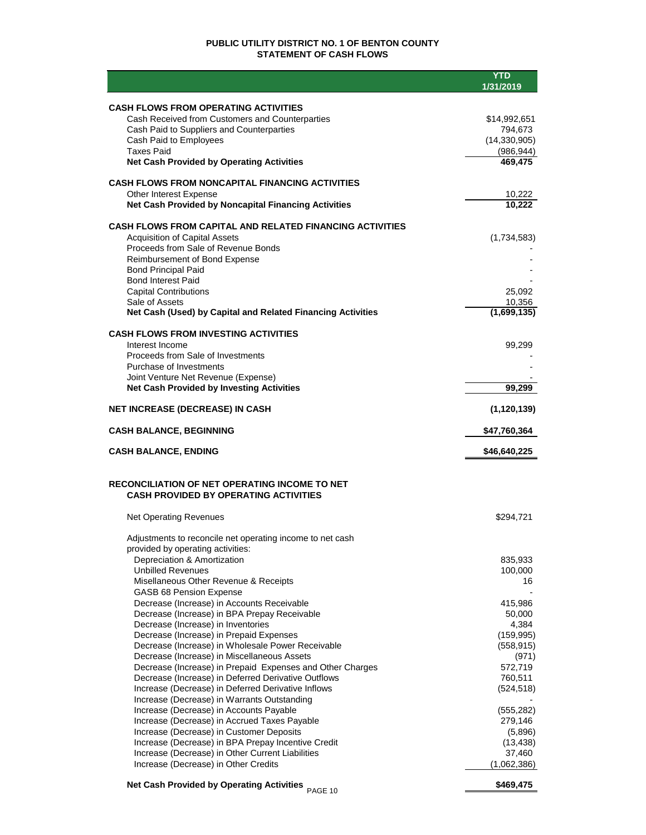## **PUBLIC UTILITY DISTRICT NO. 1 OF BENTON COUNTY STATEMENT OF CASH FLOWS**

|                                                                                              | YTD<br>1/31/2019             |
|----------------------------------------------------------------------------------------------|------------------------------|
|                                                                                              |                              |
| <b>CASH FLOWS FROM OPERATING ACTIVITIES</b>                                                  |                              |
| Cash Received from Customers and Counterparties                                              | \$14,992,651                 |
| Cash Paid to Suppliers and Counterparties                                                    | 794,673                      |
| Cash Paid to Employees<br><b>Taxes Paid</b>                                                  | (14, 330, 905)<br>(986, 944) |
| <b>Net Cash Provided by Operating Activities</b>                                             | 469,475                      |
|                                                                                              |                              |
| <b>CASH FLOWS FROM NONCAPITAL FINANCING ACTIVITIES</b>                                       |                              |
| <b>Other Interest Expense</b><br>Net Cash Provided by Noncapital Financing Activities        | 10,222<br>10,222             |
|                                                                                              |                              |
| <b>CASH FLOWS FROM CAPITAL AND RELATED FINANCING ACTIVITIES</b>                              |                              |
| <b>Acquisition of Capital Assets</b>                                                         | (1,734,583)                  |
| Proceeds from Sale of Revenue Bonds<br>Reimbursement of Bond Expense                         |                              |
| <b>Bond Principal Paid</b>                                                                   |                              |
| <b>Bond Interest Paid</b>                                                                    |                              |
| <b>Capital Contributions</b>                                                                 | 25,092                       |
| Sale of Assets                                                                               | 10,356                       |
| Net Cash (Used) by Capital and Related Financing Activities                                  | (1,699,135)                  |
| <b>CASH FLOWS FROM INVESTING ACTIVITIES</b>                                                  |                              |
| Interest Income                                                                              | 99,299                       |
| Proceeds from Sale of Investments                                                            |                              |
| Purchase of Investments<br>Joint Venture Net Revenue (Expense)                               |                              |
| <b>Net Cash Provided by Investing Activities</b>                                             | 99,299                       |
|                                                                                              |                              |
| <b>NET INCREASE (DECREASE) IN CASH</b>                                                       | (1, 120, 139)                |
| <b>CASH BALANCE, BEGINNING</b>                                                               | \$47,760,364                 |
| <b>CASH BALANCE, ENDING</b>                                                                  | \$46,640,225                 |
|                                                                                              |                              |
| RECONCILIATION OF NET OPERATING INCOME TO NET                                                |                              |
| <b>CASH PROVIDED BY OPERATING ACTIVITIES</b>                                                 |                              |
|                                                                                              |                              |
| <b>Net Operating Revenues</b>                                                                | \$294,721                    |
| Adjustments to reconcile net operating income to net cash                                    |                              |
| provided by operating activities:                                                            |                              |
| Depreciation & Amortization                                                                  | 835,933                      |
| <b>Unbilled Revenues</b><br>Misellaneous Other Revenue & Receipts                            | 100,000<br>16                |
| GASB 68 Pension Expense                                                                      |                              |
| Decrease (Increase) in Accounts Receivable                                                   | 415,986                      |
| Decrease (Increase) in BPA Prepay Receivable                                                 | 50.000                       |
| Decrease (Increase) in Inventories                                                           | 4,384                        |
| Decrease (Increase) in Prepaid Expenses<br>Decrease (Increase) in Wholesale Power Receivable | (159, 995)<br>(558, 915)     |
| Decrease (Increase) in Miscellaneous Assets                                                  | (971)                        |
| Decrease (Increase) in Prepaid Expenses and Other Charges                                    | 572,719                      |
| Decrease (Increase) in Deferred Derivative Outflows                                          | 760,511                      |
| Increase (Decrease) in Deferred Derivative Inflows                                           | (524, 518)                   |
| Increase (Decrease) in Warrants Outstanding                                                  | (555, 282)                   |
| Increase (Decrease) in Accounts Payable<br>Increase (Decrease) in Accrued Taxes Payable      | 279,146                      |
| Increase (Decrease) in Customer Deposits                                                     | (5,896)                      |
| Increase (Decrease) in BPA Prepay Incentive Credit                                           | (13, 438)                    |
| Increase (Decrease) in Other Current Liabilities                                             |                              |
|                                                                                              | 37,460                       |
| Increase (Decrease) in Other Credits                                                         | (1,062,386)                  |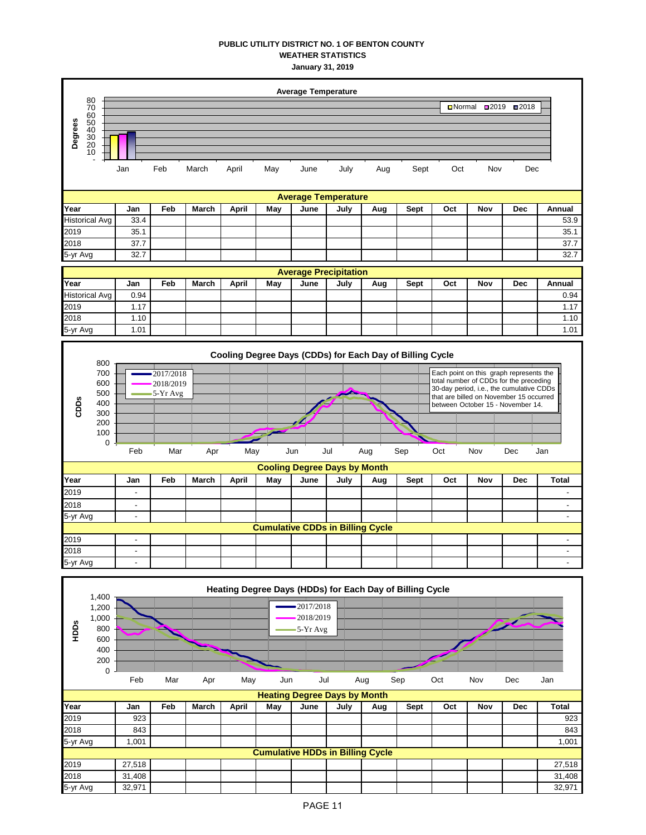## **PUBLIC UTILITY DISTRICT NO. 1 OF BENTON COUNTY WEATHER STATISTICS January 31, 2019**



|          |                                                     |        |     |       |       | Heating Degree Days (HDDs) for Each Day of Billing Cycle |                                           |      |     |      |     |     |            |              |
|----------|-----------------------------------------------------|--------|-----|-------|-------|----------------------------------------------------------|-------------------------------------------|------|-----|------|-----|-----|------------|--------------|
| HDDS     | 1,400<br>1,200<br>1,000<br>800<br>600<br>400<br>200 |        |     |       |       |                                                          | $-2017/2018$<br>-2018/2019<br>$-5-Yr$ Avg |      |     |      |     |     |            |              |
|          | 0                                                   | Feb    | Mar | Apr   | May   | Jun                                                      | Jul                                       |      | Aug | Sep  | Oct | Nov | Dec        | Jan          |
|          |                                                     |        |     |       |       | <b>Heating Degree Days by Month</b>                      |                                           |      |     |      |     |     |            |              |
| Year     |                                                     | Jan    | Feb | March | April | May                                                      | June                                      | July | Aug | Sept | Oct | Nov | <b>Dec</b> | <b>Total</b> |
| 2019     |                                                     | 923    |     |       |       |                                                          |                                           |      |     |      |     |     |            | 923          |
| 2018     |                                                     | 843    |     |       |       |                                                          |                                           |      |     |      |     |     |            | 843          |
| 5-yr Avg |                                                     | 1,001  |     |       |       |                                                          |                                           |      |     |      |     |     |            | 1,001        |
|          |                                                     |        |     |       |       | <b>Cumulative HDDs in Billing Cycle</b>                  |                                           |      |     |      |     |     |            |              |
| 2019     |                                                     | 27,518 |     |       |       |                                                          |                                           |      |     |      |     |     |            | 27,518       |
| 2018     |                                                     | 31,408 |     |       |       |                                                          |                                           |      |     |      |     |     |            | 31,408       |
| 5-yr Avg |                                                     | 32,971 |     |       |       |                                                          |                                           |      |     |      |     |     |            | 32,971       |

2019 - - 2018 - - 5-yr Avg - -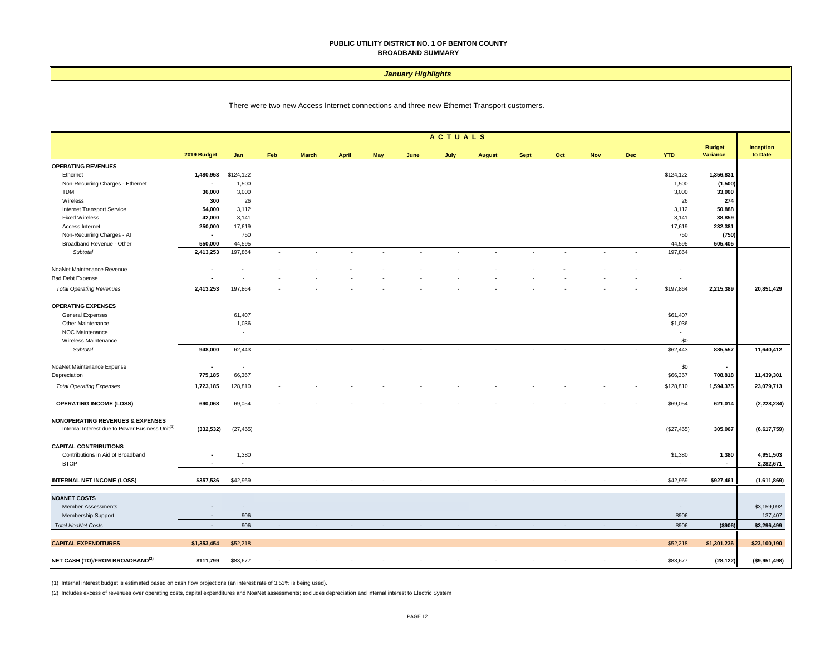#### **PUBLIC UTILITY DISTRICT NO. 1 OF BENTON COUNTY BROADBAND SUMMARY**

#### *January Highlights*

There were two new Access Internet connections and three new Ethernet Transport customers.

| <b>Budget</b><br>Inception<br>2019 Budget<br><b>YTD</b><br>Jan<br>Feb<br>Variance<br>to Date<br><b>March</b><br><b>April</b><br><b>May</b><br>June<br>July<br><b>August</b><br><b>Sept</b><br>Oct<br><b>Nov</b><br><b>Dec</b><br><b>OPERATING REVENUES</b><br>1,480,953<br>\$124,122<br>\$124,122<br>1,356,831<br>Ethernet<br>1,500<br>1,500<br>(1,500)<br>Non-Recurring Charges - Ethernet<br>$\overline{\phantom{a}}$<br>36,000<br><b>TDM</b><br>3,000<br>3,000<br>33,000<br>300<br>26<br>26<br>274<br>Wireless<br>3,112<br>3,112<br>54,000<br>50,888<br>Internet Transport Service<br>38,859<br>42,000<br>3,141<br>3,141<br><b>Fixed Wireless</b><br>17,619<br>17,619<br>232,381<br>250,000<br>Access Internet<br>750<br>750<br>(750)<br>$\sim$<br>Non-Recurring Charges - Al<br>550,000<br>44,595<br>44,595<br>505,405<br>Broadband Revenue - Other<br>197,864<br>197,864<br>2,413,253<br>Subtotal<br>$\overline{\phantom{a}}$<br>NoaNet Maintenance Revenue<br><b>Bad Debt Expense</b><br>2,413,253<br>197,864<br>\$197,864<br>2,215,389<br>20,851,429<br><b>Total Operating Revenues</b><br><b>OPERATING EXPENSES</b><br>General Expenses<br>61,407<br>\$61,407<br>1,036<br>\$1,036<br>Other Maintenance<br>NOC Maintenance<br>$\overline{\phantom{a}}$<br>$\sim$<br>Wireless Maintenance<br>\$0<br>. н.<br>62,443<br>\$62,443<br>885,557<br>948,000<br>11,640,412<br>Subtotal<br>\$0<br>NoaNet Maintenance Expense<br>$\sim$<br>$\sim$<br>$\sim$<br>66,367<br>775,185<br>\$66,367<br>708,818<br>11,439,301<br>1,594,375<br>128,810<br>\$128,810<br>23,079,713<br><b>Total Operating Expenses</b><br>1,723,185<br><b>OPERATING INCOME (LOSS)</b><br>690,068<br>69,054<br>\$69,054<br>621,014<br>(2, 228, 284)<br>NONOPERATING REVENUES & EXPENSES<br>Internal Interest due to Power Business Unit <sup>(1)</sup><br>(332, 532)<br>(27, 465)<br>(\$27,465)<br>305,067<br>(6,617,759)<br><b>CAPITAL CONTRIBUTIONS</b><br>1,380<br>\$1,380<br>1,380<br>4,951,503<br>Contributions in Aid of Broadband<br>2,282,671<br><b>BTOP</b><br>$\sim$<br><b>INTERNAL NET INCOME (LOSS)</b><br>\$357,536<br>\$42,969<br>\$42,969<br>\$927,461<br>(1,611,869)<br>\$3,159,092<br><b>Member Assessments</b><br>$\overline{\phantom{a}}$<br>906<br>\$906<br>137,407<br>Membership Support<br>$\sim$<br><b>Total NoaNet Costs</b><br>906<br>\$906<br>(\$906)<br>\$3,296,499<br>$\sim$<br>$\sim$<br><b>CAPITAL EXPENDITURES</b><br>\$1,353,454<br>\$52,218<br>\$52,218<br>\$1,301,236<br>\$23,100,190<br>\$111,799<br>\$83,677<br>\$83,677<br>(28, 122)<br>( \$9,951,498) |                                             | <b>ACTUALS</b> |  |  |  |  |  |  |  |  |  |  |  |  |  |
|-------------------------------------------------------------------------------------------------------------------------------------------------------------------------------------------------------------------------------------------------------------------------------------------------------------------------------------------------------------------------------------------------------------------------------------------------------------------------------------------------------------------------------------------------------------------------------------------------------------------------------------------------------------------------------------------------------------------------------------------------------------------------------------------------------------------------------------------------------------------------------------------------------------------------------------------------------------------------------------------------------------------------------------------------------------------------------------------------------------------------------------------------------------------------------------------------------------------------------------------------------------------------------------------------------------------------------------------------------------------------------------------------------------------------------------------------------------------------------------------------------------------------------------------------------------------------------------------------------------------------------------------------------------------------------------------------------------------------------------------------------------------------------------------------------------------------------------------------------------------------------------------------------------------------------------------------------------------------------------------------------------------------------------------------------------------------------------------------------------------------------------------------------------------------------------------------------------------------------------------------------------------------------------------------------------------------------------------------------------------------------------------------------------------------------------------------------------------------------------------------------------------------------------------------------------|---------------------------------------------|----------------|--|--|--|--|--|--|--|--|--|--|--|--|--|
|                                                                                                                                                                                                                                                                                                                                                                                                                                                                                                                                                                                                                                                                                                                                                                                                                                                                                                                                                                                                                                                                                                                                                                                                                                                                                                                                                                                                                                                                                                                                                                                                                                                                                                                                                                                                                                                                                                                                                                                                                                                                                                                                                                                                                                                                                                                                                                                                                                                                                                                                                             |                                             |                |  |  |  |  |  |  |  |  |  |  |  |  |  |
|                                                                                                                                                                                                                                                                                                                                                                                                                                                                                                                                                                                                                                                                                                                                                                                                                                                                                                                                                                                                                                                                                                                                                                                                                                                                                                                                                                                                                                                                                                                                                                                                                                                                                                                                                                                                                                                                                                                                                                                                                                                                                                                                                                                                                                                                                                                                                                                                                                                                                                                                                             |                                             |                |  |  |  |  |  |  |  |  |  |  |  |  |  |
|                                                                                                                                                                                                                                                                                                                                                                                                                                                                                                                                                                                                                                                                                                                                                                                                                                                                                                                                                                                                                                                                                                                                                                                                                                                                                                                                                                                                                                                                                                                                                                                                                                                                                                                                                                                                                                                                                                                                                                                                                                                                                                                                                                                                                                                                                                                                                                                                                                                                                                                                                             |                                             |                |  |  |  |  |  |  |  |  |  |  |  |  |  |
|                                                                                                                                                                                                                                                                                                                                                                                                                                                                                                                                                                                                                                                                                                                                                                                                                                                                                                                                                                                                                                                                                                                                                                                                                                                                                                                                                                                                                                                                                                                                                                                                                                                                                                                                                                                                                                                                                                                                                                                                                                                                                                                                                                                                                                                                                                                                                                                                                                                                                                                                                             |                                             |                |  |  |  |  |  |  |  |  |  |  |  |  |  |
|                                                                                                                                                                                                                                                                                                                                                                                                                                                                                                                                                                                                                                                                                                                                                                                                                                                                                                                                                                                                                                                                                                                                                                                                                                                                                                                                                                                                                                                                                                                                                                                                                                                                                                                                                                                                                                                                                                                                                                                                                                                                                                                                                                                                                                                                                                                                                                                                                                                                                                                                                             |                                             |                |  |  |  |  |  |  |  |  |  |  |  |  |  |
|                                                                                                                                                                                                                                                                                                                                                                                                                                                                                                                                                                                                                                                                                                                                                                                                                                                                                                                                                                                                                                                                                                                                                                                                                                                                                                                                                                                                                                                                                                                                                                                                                                                                                                                                                                                                                                                                                                                                                                                                                                                                                                                                                                                                                                                                                                                                                                                                                                                                                                                                                             |                                             |                |  |  |  |  |  |  |  |  |  |  |  |  |  |
|                                                                                                                                                                                                                                                                                                                                                                                                                                                                                                                                                                                                                                                                                                                                                                                                                                                                                                                                                                                                                                                                                                                                                                                                                                                                                                                                                                                                                                                                                                                                                                                                                                                                                                                                                                                                                                                                                                                                                                                                                                                                                                                                                                                                                                                                                                                                                                                                                                                                                                                                                             |                                             |                |  |  |  |  |  |  |  |  |  |  |  |  |  |
|                                                                                                                                                                                                                                                                                                                                                                                                                                                                                                                                                                                                                                                                                                                                                                                                                                                                                                                                                                                                                                                                                                                                                                                                                                                                                                                                                                                                                                                                                                                                                                                                                                                                                                                                                                                                                                                                                                                                                                                                                                                                                                                                                                                                                                                                                                                                                                                                                                                                                                                                                             |                                             |                |  |  |  |  |  |  |  |  |  |  |  |  |  |
|                                                                                                                                                                                                                                                                                                                                                                                                                                                                                                                                                                                                                                                                                                                                                                                                                                                                                                                                                                                                                                                                                                                                                                                                                                                                                                                                                                                                                                                                                                                                                                                                                                                                                                                                                                                                                                                                                                                                                                                                                                                                                                                                                                                                                                                                                                                                                                                                                                                                                                                                                             |                                             |                |  |  |  |  |  |  |  |  |  |  |  |  |  |
|                                                                                                                                                                                                                                                                                                                                                                                                                                                                                                                                                                                                                                                                                                                                                                                                                                                                                                                                                                                                                                                                                                                                                                                                                                                                                                                                                                                                                                                                                                                                                                                                                                                                                                                                                                                                                                                                                                                                                                                                                                                                                                                                                                                                                                                                                                                                                                                                                                                                                                                                                             |                                             |                |  |  |  |  |  |  |  |  |  |  |  |  |  |
|                                                                                                                                                                                                                                                                                                                                                                                                                                                                                                                                                                                                                                                                                                                                                                                                                                                                                                                                                                                                                                                                                                                                                                                                                                                                                                                                                                                                                                                                                                                                                                                                                                                                                                                                                                                                                                                                                                                                                                                                                                                                                                                                                                                                                                                                                                                                                                                                                                                                                                                                                             |                                             |                |  |  |  |  |  |  |  |  |  |  |  |  |  |
|                                                                                                                                                                                                                                                                                                                                                                                                                                                                                                                                                                                                                                                                                                                                                                                                                                                                                                                                                                                                                                                                                                                                                                                                                                                                                                                                                                                                                                                                                                                                                                                                                                                                                                                                                                                                                                                                                                                                                                                                                                                                                                                                                                                                                                                                                                                                                                                                                                                                                                                                                             |                                             |                |  |  |  |  |  |  |  |  |  |  |  |  |  |
|                                                                                                                                                                                                                                                                                                                                                                                                                                                                                                                                                                                                                                                                                                                                                                                                                                                                                                                                                                                                                                                                                                                                                                                                                                                                                                                                                                                                                                                                                                                                                                                                                                                                                                                                                                                                                                                                                                                                                                                                                                                                                                                                                                                                                                                                                                                                                                                                                                                                                                                                                             |                                             |                |  |  |  |  |  |  |  |  |  |  |  |  |  |
|                                                                                                                                                                                                                                                                                                                                                                                                                                                                                                                                                                                                                                                                                                                                                                                                                                                                                                                                                                                                                                                                                                                                                                                                                                                                                                                                                                                                                                                                                                                                                                                                                                                                                                                                                                                                                                                                                                                                                                                                                                                                                                                                                                                                                                                                                                                                                                                                                                                                                                                                                             |                                             |                |  |  |  |  |  |  |  |  |  |  |  |  |  |
|                                                                                                                                                                                                                                                                                                                                                                                                                                                                                                                                                                                                                                                                                                                                                                                                                                                                                                                                                                                                                                                                                                                                                                                                                                                                                                                                                                                                                                                                                                                                                                                                                                                                                                                                                                                                                                                                                                                                                                                                                                                                                                                                                                                                                                                                                                                                                                                                                                                                                                                                                             |                                             |                |  |  |  |  |  |  |  |  |  |  |  |  |  |
|                                                                                                                                                                                                                                                                                                                                                                                                                                                                                                                                                                                                                                                                                                                                                                                                                                                                                                                                                                                                                                                                                                                                                                                                                                                                                                                                                                                                                                                                                                                                                                                                                                                                                                                                                                                                                                                                                                                                                                                                                                                                                                                                                                                                                                                                                                                                                                                                                                                                                                                                                             |                                             |                |  |  |  |  |  |  |  |  |  |  |  |  |  |
|                                                                                                                                                                                                                                                                                                                                                                                                                                                                                                                                                                                                                                                                                                                                                                                                                                                                                                                                                                                                                                                                                                                                                                                                                                                                                                                                                                                                                                                                                                                                                                                                                                                                                                                                                                                                                                                                                                                                                                                                                                                                                                                                                                                                                                                                                                                                                                                                                                                                                                                                                             |                                             |                |  |  |  |  |  |  |  |  |  |  |  |  |  |
|                                                                                                                                                                                                                                                                                                                                                                                                                                                                                                                                                                                                                                                                                                                                                                                                                                                                                                                                                                                                                                                                                                                                                                                                                                                                                                                                                                                                                                                                                                                                                                                                                                                                                                                                                                                                                                                                                                                                                                                                                                                                                                                                                                                                                                                                                                                                                                                                                                                                                                                                                             |                                             |                |  |  |  |  |  |  |  |  |  |  |  |  |  |
|                                                                                                                                                                                                                                                                                                                                                                                                                                                                                                                                                                                                                                                                                                                                                                                                                                                                                                                                                                                                                                                                                                                                                                                                                                                                                                                                                                                                                                                                                                                                                                                                                                                                                                                                                                                                                                                                                                                                                                                                                                                                                                                                                                                                                                                                                                                                                                                                                                                                                                                                                             |                                             |                |  |  |  |  |  |  |  |  |  |  |  |  |  |
|                                                                                                                                                                                                                                                                                                                                                                                                                                                                                                                                                                                                                                                                                                                                                                                                                                                                                                                                                                                                                                                                                                                                                                                                                                                                                                                                                                                                                                                                                                                                                                                                                                                                                                                                                                                                                                                                                                                                                                                                                                                                                                                                                                                                                                                                                                                                                                                                                                                                                                                                                             |                                             |                |  |  |  |  |  |  |  |  |  |  |  |  |  |
|                                                                                                                                                                                                                                                                                                                                                                                                                                                                                                                                                                                                                                                                                                                                                                                                                                                                                                                                                                                                                                                                                                                                                                                                                                                                                                                                                                                                                                                                                                                                                                                                                                                                                                                                                                                                                                                                                                                                                                                                                                                                                                                                                                                                                                                                                                                                                                                                                                                                                                                                                             |                                             |                |  |  |  |  |  |  |  |  |  |  |  |  |  |
|                                                                                                                                                                                                                                                                                                                                                                                                                                                                                                                                                                                                                                                                                                                                                                                                                                                                                                                                                                                                                                                                                                                                                                                                                                                                                                                                                                                                                                                                                                                                                                                                                                                                                                                                                                                                                                                                                                                                                                                                                                                                                                                                                                                                                                                                                                                                                                                                                                                                                                                                                             |                                             |                |  |  |  |  |  |  |  |  |  |  |  |  |  |
|                                                                                                                                                                                                                                                                                                                                                                                                                                                                                                                                                                                                                                                                                                                                                                                                                                                                                                                                                                                                                                                                                                                                                                                                                                                                                                                                                                                                                                                                                                                                                                                                                                                                                                                                                                                                                                                                                                                                                                                                                                                                                                                                                                                                                                                                                                                                                                                                                                                                                                                                                             | Depreciation                                |                |  |  |  |  |  |  |  |  |  |  |  |  |  |
|                                                                                                                                                                                                                                                                                                                                                                                                                                                                                                                                                                                                                                                                                                                                                                                                                                                                                                                                                                                                                                                                                                                                                                                                                                                                                                                                                                                                                                                                                                                                                                                                                                                                                                                                                                                                                                                                                                                                                                                                                                                                                                                                                                                                                                                                                                                                                                                                                                                                                                                                                             |                                             |                |  |  |  |  |  |  |  |  |  |  |  |  |  |
|                                                                                                                                                                                                                                                                                                                                                                                                                                                                                                                                                                                                                                                                                                                                                                                                                                                                                                                                                                                                                                                                                                                                                                                                                                                                                                                                                                                                                                                                                                                                                                                                                                                                                                                                                                                                                                                                                                                                                                                                                                                                                                                                                                                                                                                                                                                                                                                                                                                                                                                                                             |                                             |                |  |  |  |  |  |  |  |  |  |  |  |  |  |
|                                                                                                                                                                                                                                                                                                                                                                                                                                                                                                                                                                                                                                                                                                                                                                                                                                                                                                                                                                                                                                                                                                                                                                                                                                                                                                                                                                                                                                                                                                                                                                                                                                                                                                                                                                                                                                                                                                                                                                                                                                                                                                                                                                                                                                                                                                                                                                                                                                                                                                                                                             |                                             |                |  |  |  |  |  |  |  |  |  |  |  |  |  |
|                                                                                                                                                                                                                                                                                                                                                                                                                                                                                                                                                                                                                                                                                                                                                                                                                                                                                                                                                                                                                                                                                                                                                                                                                                                                                                                                                                                                                                                                                                                                                                                                                                                                                                                                                                                                                                                                                                                                                                                                                                                                                                                                                                                                                                                                                                                                                                                                                                                                                                                                                             |                                             |                |  |  |  |  |  |  |  |  |  |  |  |  |  |
|                                                                                                                                                                                                                                                                                                                                                                                                                                                                                                                                                                                                                                                                                                                                                                                                                                                                                                                                                                                                                                                                                                                                                                                                                                                                                                                                                                                                                                                                                                                                                                                                                                                                                                                                                                                                                                                                                                                                                                                                                                                                                                                                                                                                                                                                                                                                                                                                                                                                                                                                                             |                                             |                |  |  |  |  |  |  |  |  |  |  |  |  |  |
|                                                                                                                                                                                                                                                                                                                                                                                                                                                                                                                                                                                                                                                                                                                                                                                                                                                                                                                                                                                                                                                                                                                                                                                                                                                                                                                                                                                                                                                                                                                                                                                                                                                                                                                                                                                                                                                                                                                                                                                                                                                                                                                                                                                                                                                                                                                                                                                                                                                                                                                                                             |                                             |                |  |  |  |  |  |  |  |  |  |  |  |  |  |
|                                                                                                                                                                                                                                                                                                                                                                                                                                                                                                                                                                                                                                                                                                                                                                                                                                                                                                                                                                                                                                                                                                                                                                                                                                                                                                                                                                                                                                                                                                                                                                                                                                                                                                                                                                                                                                                                                                                                                                                                                                                                                                                                                                                                                                                                                                                                                                                                                                                                                                                                                             |                                             |                |  |  |  |  |  |  |  |  |  |  |  |  |  |
|                                                                                                                                                                                                                                                                                                                                                                                                                                                                                                                                                                                                                                                                                                                                                                                                                                                                                                                                                                                                                                                                                                                                                                                                                                                                                                                                                                                                                                                                                                                                                                                                                                                                                                                                                                                                                                                                                                                                                                                                                                                                                                                                                                                                                                                                                                                                                                                                                                                                                                                                                             | <b>NOANET COSTS</b>                         |                |  |  |  |  |  |  |  |  |  |  |  |  |  |
|                                                                                                                                                                                                                                                                                                                                                                                                                                                                                                                                                                                                                                                                                                                                                                                                                                                                                                                                                                                                                                                                                                                                                                                                                                                                                                                                                                                                                                                                                                                                                                                                                                                                                                                                                                                                                                                                                                                                                                                                                                                                                                                                                                                                                                                                                                                                                                                                                                                                                                                                                             |                                             |                |  |  |  |  |  |  |  |  |  |  |  |  |  |
|                                                                                                                                                                                                                                                                                                                                                                                                                                                                                                                                                                                                                                                                                                                                                                                                                                                                                                                                                                                                                                                                                                                                                                                                                                                                                                                                                                                                                                                                                                                                                                                                                                                                                                                                                                                                                                                                                                                                                                                                                                                                                                                                                                                                                                                                                                                                                                                                                                                                                                                                                             |                                             |                |  |  |  |  |  |  |  |  |  |  |  |  |  |
|                                                                                                                                                                                                                                                                                                                                                                                                                                                                                                                                                                                                                                                                                                                                                                                                                                                                                                                                                                                                                                                                                                                                                                                                                                                                                                                                                                                                                                                                                                                                                                                                                                                                                                                                                                                                                                                                                                                                                                                                                                                                                                                                                                                                                                                                                                                                                                                                                                                                                                                                                             |                                             |                |  |  |  |  |  |  |  |  |  |  |  |  |  |
|                                                                                                                                                                                                                                                                                                                                                                                                                                                                                                                                                                                                                                                                                                                                                                                                                                                                                                                                                                                                                                                                                                                                                                                                                                                                                                                                                                                                                                                                                                                                                                                                                                                                                                                                                                                                                                                                                                                                                                                                                                                                                                                                                                                                                                                                                                                                                                                                                                                                                                                                                             |                                             |                |  |  |  |  |  |  |  |  |  |  |  |  |  |
|                                                                                                                                                                                                                                                                                                                                                                                                                                                                                                                                                                                                                                                                                                                                                                                                                                                                                                                                                                                                                                                                                                                                                                                                                                                                                                                                                                                                                                                                                                                                                                                                                                                                                                                                                                                                                                                                                                                                                                                                                                                                                                                                                                                                                                                                                                                                                                                                                                                                                                                                                             | NET CASH (TO)/FROM BROADBAND <sup>(2)</sup> |                |  |  |  |  |  |  |  |  |  |  |  |  |  |

(1) Internal interest budget is estimated based on cash flow projections (an interest rate of 3.53% is being used).

(2) Includes excess of revenues over operating costs, capital expenditures and NoaNet assessments; excludes depreciation and internal interest to Electric System